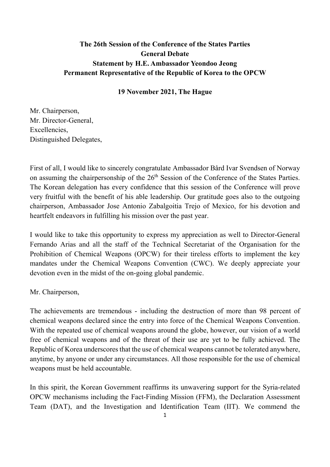# The 26th Session of the Conference of the States Parties General Debate Statement by H.E. Ambassador Yeondoo Jeong Permanent Representative of the Republic of Korea to the OPCW

# 19 November 2021, The Hague

Mr. Chairperson, Mr. Director-General, Excellencies, Distinguished Delegates,

First of all, I would like to sincerely congratulate Ambassador Bård Ivar Svendsen of Norway on assuming the chairpersonship of the 26<sup>th</sup> Session of the Conference of the States Parties. The Korean delegation has every confidence that this session of the Conference will prove very fruitful with the benefit of his able leadership. Our gratitude goes also to the outgoing chairperson, Ambassador Jose Antonio Zabalgoitia Trejo of Mexico, for his devotion and heartfelt endeavors in fulfilling his mission over the past year.

I would like to take this opportunity to express my appreciation as well to Director-General Fernando Arias and all the staff of the Technical Secretariat of the Organisation for the Prohibition of Chemical Weapons (OPCW) for their tireless efforts to implement the key mandates under the Chemical Weapons Convention (CWC). We deeply appreciate your devotion even in the midst of the on-going global pandemic.

Mr. Chairperson,

The achievements are tremendous - including the destruction of more than 98 percent of chemical weapons declared since the entry into force of the Chemical Weapons Convention. With the repeated use of chemical weapons around the globe, however, our vision of a world free of chemical weapons and of the threat of their use are yet to be fully achieved. The Republic of Korea underscores that the use of chemical weapons cannot be tolerated anywhere, anytime, by anyone or under any circumstances. All those responsible for the use of chemical weapons must be held accountable.

In this spirit, the Korean Government reaffirms its unwavering support for the Syria-related OPCW mechanisms including the Fact-Finding Mission (FFM), the Declaration Assessment Team (DAT), and the Investigation and Identification Team (IIT). We commend the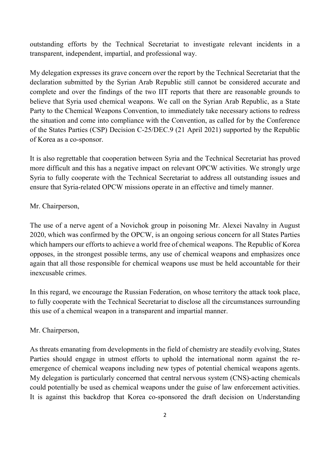outstanding efforts by the Technical Secretariat to investigate relevant incidents in a transparent, independent, impartial, and professional way.

My delegation expresses its grave concern over the report by the Technical Secretariat that the declaration submitted by the Syrian Arab Republic still cannot be considered accurate and complete and over the findings of the two IIT reports that there are reasonable grounds to believe that Syria used chemical weapons. We call on the Syrian Arab Republic, as a State Party to the Chemical Weapons Convention, to immediately take necessary actions to redress the situation and come into compliance with the Convention, as called for by the Conference of the States Parties (CSP) Decision C-25/DEC.9 (21 April 2021) supported by the Republic of Korea as a co-sponsor.

It is also regrettable that cooperation between Syria and the Technical Secretariat has proved more difficult and this has a negative impact on relevant OPCW activities. We strongly urge Syria to fully cooperate with the Technical Secretariat to address all outstanding issues and ensure that Syria-related OPCW missions operate in an effective and timely manner.

## Mr. Chairperson,

The use of a nerve agent of a Novichok group in poisoning Mr. Alexei Navalny in August 2020, which was confirmed by the OPCW, is an ongoing serious concern for all States Parties which hampers our efforts to achieve a world free of chemical weapons. The Republic of Korea opposes, in the strongest possible terms, any use of chemical weapons and emphasizes once again that all those responsible for chemical weapons use must be held accountable for their inexcusable crimes.

In this regard, we encourage the Russian Federation, on whose territory the attack took place, to fully cooperate with the Technical Secretariat to disclose all the circumstances surrounding this use of a chemical weapon in a transparent and impartial manner.

### Mr. Chairperson,

As threats emanating from developments in the field of chemistry are steadily evolving, States Parties should engage in utmost efforts to uphold the international norm against the reemergence of chemical weapons including new types of potential chemical weapons agents. My delegation is particularly concerned that central nervous system (CNS)-acting chemicals could potentially be used as chemical weapons under the guise of law enforcement activities. It is against this backdrop that Korea co-sponsored the draft decision on Understanding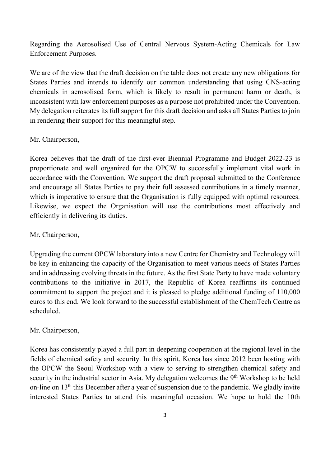Regarding the Aerosolised Use of Central Nervous System-Acting Chemicals for Law Enforcement Purposes.

We are of the view that the draft decision on the table does not create any new obligations for States Parties and intends to identify our common understanding that using CNS-acting chemicals in aerosolised form, which is likely to result in permanent harm or death, is inconsistent with law enforcement purposes as a purpose not prohibited under the Convention. My delegation reiterates its full support for this draft decision and asks all States Parties to join in rendering their support for this meaningful step.

#### Mr. Chairperson,

Korea believes that the draft of the first-ever Biennial Programme and Budget 2022-23 is proportionate and well organized for the OPCW to successfully implement vital work in accordance with the Convention. We support the draft proposal submitted to the Conference and encourage all States Parties to pay their full assessed contributions in a timely manner, which is imperative to ensure that the Organisation is fully equipped with optimal resources. Likewise, we expect the Organisation will use the contributions most effectively and efficiently in delivering its duties.

#### Mr. Chairperson,

Upgrading the current OPCW laboratory into a new Centre for Chemistry and Technology will be key in enhancing the capacity of the Organisation to meet various needs of States Parties and in addressing evolving threats in the future. As the first State Party to have made voluntary contributions to the initiative in 2017, the Republic of Korea reaffirms its continued commitment to support the project and it is pleased to pledge additional funding of 110,000 euros to this end. We look forward to the successful establishment of the ChemTech Centre as scheduled.

### Mr. Chairperson,

Korea has consistently played a full part in deepening cooperation at the regional level in the fields of chemical safety and security. In this spirit, Korea has since 2012 been hosting with the OPCW the Seoul Workshop with a view to serving to strengthen chemical safety and security in the industrial sector in Asia. My delegation welcomes the  $9<sup>th</sup>$  Workshop to be held on-line on  $13<sup>th</sup>$  this December after a year of suspension due to the pandemic. We gladly invite interested States Parties to attend this meaningful occasion. We hope to hold the 10th